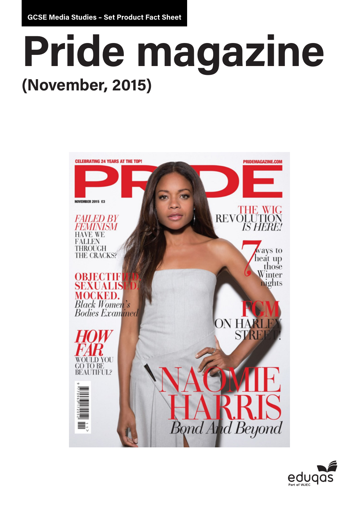**GCSE Media Studies – Set Product Fact Sheet**

# **Pride magazine (November, 2015)**



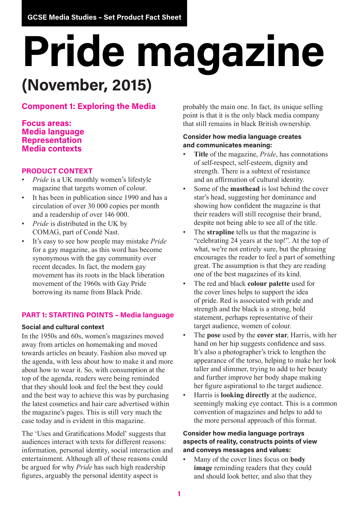# **Pride magazine (November, 2015)**

# **Component 1: Exploring the Media**

#### **Focus areas: Media language Representation Media contexts**

## **PRODUCT CONTEXT**

- *Pride* is a UK monthly women's lifestyle magazine that targets women of colour.
- It has been in publication since 1990 and has a circulation of over 30 000 copies per month and a readership of over 146 000.
- *Pride* is distributed in the UK by COMAG, part of Condé Nast.
- It's easy to see how people may mistake *Pride*  for a gay magazine, as this word has become synonymous with the gay community over recent decades. In fact, the modern gay movement has its roots in the black liberation movement of the 1960s with Gay Pride borrowing its name from Black Pride.

## **PART 1: STARTING POINTS – Media language**

#### **Social and cultural context**

In the 1950s and 60s, women's magazines moved away from articles on homemaking and moved towards articles on beauty. Fashion also moved up the agenda, with less about how to make it and more about how to wear it. So, with consumption at the top of the agenda, readers were being reminded that they should look and feel the best they could and the best way to achieve this was by purchasing the latest cosmetics and hair care advertised within the magazine's pages. This is still very much the case today and is evident in this magazine.

The 'Uses and Gratifications Model' suggests that audiences interact with texts for different reasons: information, personal identity, social interaction and entertainment. Although all of these reasons could be argued for why *Pride* has such high readership figures, arguably the personal identity aspect is

probably the main one. In fact, its unique selling point is that it is the only black media company that still remains in black British ownership.

#### **Consider how media language creates and communicates meaning:**

- **Title** of the magazine, *Pride*, has connotations of self-respect, self-esteem, dignity and strength. There is a subtext of resistance and an affirmation of cultural identity.
- Some of the **masthead** is lost behind the cover star's head, suggesting her dominance and showing how confident the magazine is that their readers will still recognise their brand, despite not being able to see all of the title.
- The **strapline** tells us that the magazine is "celebrating 24 years at the top!". At the top of what, we're not entirely sure, but the phrasing encourages the reader to feel a part of something great. The assumption is that they are reading one of the best magazines of its kind.
- The red and black **colour palette** used for the cover lines helps to support the idea of pride. Red is associated with pride and strength and the black is a strong, bold statement, perhaps representative of their target audience, women of colour.
- The **pose** used by the **cover star**, Harris, with her hand on her hip suggests confidence and sass. It's also a photographer's trick to lengthen the appearance of the torso, helping to make her look taller and slimmer, trying to add to her beauty and further improve her body shape making her figure aspirational to the target audience.
- Harris is **looking directly** at the audience, seemingly making eye contact. This is a common convention of magazines and helps to add to the more personal approach of this format.

#### **Consider how media language portrays aspects of reality, constructs points of view and conveys messages and values:**

• Many of the cover lines focus on **body image** reminding readers that they could and should look better, and also that they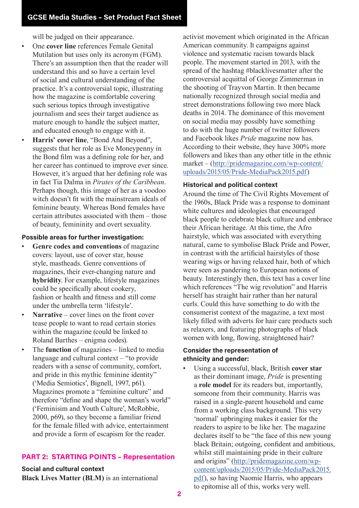will be judged on their appearance.

- One **cover line** references Female Genital Mutilation but uses only its acronym (FGM). There's an assumption then that the reader will understand this and so have a certain level of social and cultural understanding of the practice. It's a controversial topic, illustrating how the magazine is comfortable covering such serious topics through investigative journalism and sees their target audience as mature enough to handle the subject matter, and educated enough to engage with it.
- **Harris' cover line**, "Bond And Beyond", suggests that her role as Eve Moneypenny in the Bond film was a defining role for her, and her career has continued to improve ever since. However, it's argued that her defining role was in fact Tia Dalma in *Pirates of the Caribbean*. Perhaps though, this image of her as a voodoo witch doesn't fit with the mainstream ideals of feminine beauty. Whereas Bond females have certain attributes associated with them – those of beauty, femininity and overt sexuality.

#### **Possible areas for further investigation:**

- **Genre codes and conventions** of magazine covers: layout, use of cover star, house style, mastheads. Genre conventions of magazines, their ever-changing nature and **hybridity**. For example, lifestyle magazines could be specifically about cookery, fashion or health and fitness and still come under the umbrella term 'lifestyle'.
- **Narrative** cover lines on the front cover tease people to want to read certain stories within the magazine (could be linked to Roland Barthes – enigma codes).
- The **function** of magazines linked to media language and cultural context – "to provide readers with a sense of community, comfort, and pride in this mythic feminine identity" ('Media Semiotics', Bignell, 1997, p61). Magazines promote a "feminine culture" and therefore "define and shape the woman's world" ('Feminisim and Youth Culture', McRobbie, 2000, p69), so they become a familiar friend for the female filled with advice, entertainment and provide a form of escapism for the reader.

# **PART 2: STARTING POINTS – Representation**

## **Social and cultural context**

**Black Lives Matter (BLM)** is an international

activist movement which originated in the African American community. It campaigns against violence and systematic racism towards black people. The movement started in 2013, with the spread of the hashtag #blacklivesmatter after the controversial acquittal of George Zimmerman in the shooting of Trayvon Martin. It then became nationally recognized through social media and street demonstrations following two more black deaths in 2014. The dominance of this movement on social media may possibly have something to do with the huge number of twitter followers and Facebook likes *Pride* magazine now has. According to their website, they have 300% more followers and likes than any other title in the ethnic market – (http://pridemagazine.com/wp-content/ uploads/2015/05/Pride-MediaPack2015.pdf)

# **Historical and political context**

Around the time of The Civil Rights Movement of the 1960s, Black Pride was a response to dominant white cultures and ideologies that encouraged black people to celebrate black culture and embrace their African heritage. At this time, the Afro hairstyle, which was associated with everything natural, came to symbolise Black Pride and Power, in contrast with the artificial hairstyles of those wearing wigs or having relaxed hair, both of which were seen as pandering to European notions of beauty. Interestingly then, this text has a cover line which references "The wig revolution" and Harris herself has straight hair rather than her natural curls. Could this have something to do with the consumerist context of the magazine, a text most likely filled with adverts for hair care products such as relaxers, and featuring photographs of black women with long, flowing, straightened hair?

#### **Consider the representation of ethnicity and gender:**

• Using a successful, black, British **cover star** as their dominant image, *Pride* is presenting a **role model** for its readers but, importantly, someone from their community. Harris was raised in a single-parent household and came from a working class background. This very 'normal' upbringing makes it easier for the readers to aspire to be like her. The magazine declares itself to be "the face of this new young black Britain; outgoing, confident and ambitious, whilst still maintaining pride in their culture and origins" (http://pridemagazine.com/wpcontent/uploads/2015/05/Pride-MediaPack2015. pdf), so having Naomie Harris, who appears to epitomise all of this, works very well.